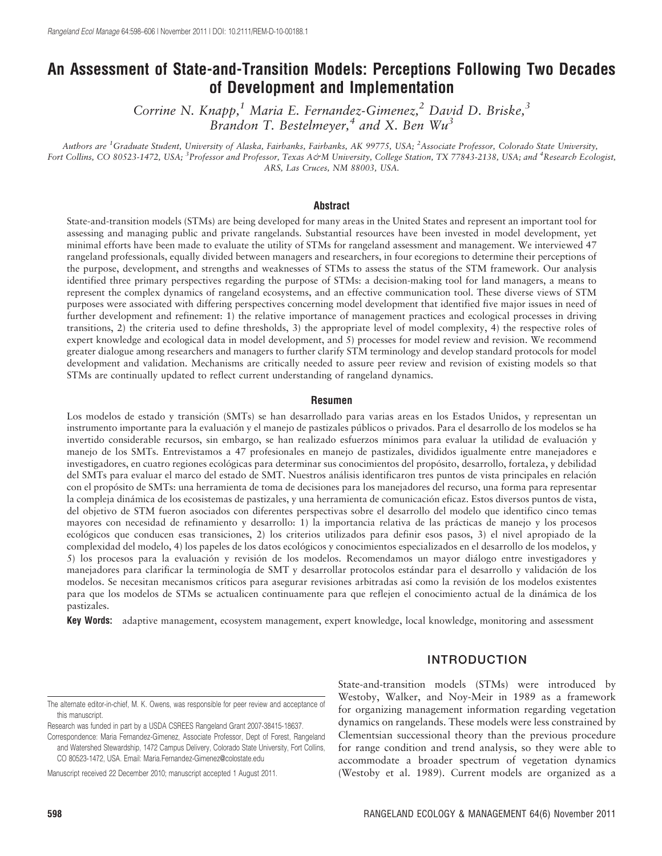# An Assessment of State-and-Transition Models: Perceptions Following Two Decades of Development and Implementation

Corrine N. Knapp,<sup>1</sup> Maria E. Fernandez-Gimenez,<sup>2</sup> David D. Briske,<sup>3</sup> Brandon T. Bestelmeyer,<sup>4</sup> and X. Ben  $Wu^3$ 

Authors are <sup>1</sup>Graduate Student, University of Alaska, Fairbanks, Fairbanks, AK 99775, USA; <sup>2</sup>Associate Professor, Colorado State University, Fort Collins, CO 80523-1472, USA; <sup>3</sup>Professor and Professor, Texas A&M University, College Station, TX 77843-2138, USA; and <sup>4</sup>Research Ecologist, ARS, Las Cruces, NM 88003, USA.

#### **Abstract**

State-and-transition models (STMs) are being developed for many areas in the United States and represent an important tool for assessing and managing public and private rangelands. Substantial resources have been invested in model development, yet minimal efforts have been made to evaluate the utility of STMs for rangeland assessment and management. We interviewed 47 rangeland professionals, equally divided between managers and researchers, in four ecoregions to determine their perceptions of the purpose, development, and strengths and weaknesses of STMs to assess the status of the STM framework. Our analysis identified three primary perspectives regarding the purpose of STMs: a decision-making tool for land managers, a means to represent the complex dynamics of rangeland ecosystems, and an effective communication tool. These diverse views of STM purposes were associated with differing perspectives concerning model development that identified five major issues in need of further development and refinement: 1) the relative importance of management practices and ecological processes in driving transitions, 2) the criteria used to define thresholds, 3) the appropriate level of model complexity, 4) the respective roles of expert knowledge and ecological data in model development, and 5) processes for model review and revision. We recommend greater dialogue among researchers and managers to further clarify STM terminology and develop standard protocols for model development and validation. Mechanisms are critically needed to assure peer review and revision of existing models so that STMs are continually updated to reflect current understanding of rangeland dynamics.

#### Resumen

Los modelos de estado y transición (SMTs) se han desarrollado para varias areas en los Estados Unidos, y representan un instrumento importante para la evaluación y el manejo de pastizales públicos o privados. Para el desarrollo de los modelos se ha invertido considerable recursos, sin embargo, se han realizado esfuerzos mínimos para evaluar la utilidad de evaluación y manejo de los SMTs. Entrevistamos a 47 profesionales en manejo de pastizales, divididos igualmente entre manejadores e investigadores, en cuatro regiones ecológicas para determinar sus conocimientos del propósito, desarrollo, fortaleza, y debilidad del SMTs para evaluar el marco del estado de SMT. Nuestros análisis identificaron tres puntos de vista principales en relación con el propo´sito de SMTs: una herramienta de toma de decisiones para los manejadores del recurso, una forma para representar la compleja dinámica de los ecosistemas de pastizales, y una herramienta de comunicación eficaz. Estos diversos puntos de vista, del objetivo de STM fueron asociados con diferentes perspectivas sobre el desarrollo del modelo que identifico cinco temas mayores con necesidad de refinamiento y desarrollo: 1) la importancia relativa de las prácticas de manejo y los procesos ecológicos que conducen esas transiciones, 2) los criterios utilizados para definir esos pasos, 3) el nivel apropiado de la complexidad del modelo, 4) los papeles de los datos ecológicos y conocimientos especializados en el desarrollo de los modelos, y 5) los procesos para la evaluación y revisión de los modelos. Recomendamos un mayor diálogo entre investigadores y manejadores para clarificar la terminología de SMT y desarrollar protocolos estándar para el desarrollo y validación de los modelos. Se necesitan mecanismos críticos para asegurar revisiones arbitradas así como la revisión de los modelos existentes para que los modelos de STMs se actualicen continuamente para que reflejen el conocimiento actual de la dinámica de los pastizales.

Key Words: adaptive management, ecosystem management, expert knowledge, local knowledge, monitoring and assessment

# INTRODUCTION

Research was funded in part by a USDA CSREES Rangeland Grant 2007-38415-18637.

Manuscript received 22 December 2010; manuscript accepted 1 August 2011.

State-and-transition models (STMs) were introduced by Westoby, Walker, and Noy-Meir in 1989 as a framework for organizing management information regarding vegetation dynamics on rangelands. These models were less constrained by Clementsian successional theory than the previous procedure for range condition and trend analysis, so they were able to accommodate a broader spectrum of vegetation dynamics (Westoby et al. 1989). Current models are organized as a

The alternate editor-in-chief, M. K. Owens, was responsible for peer review and acceptance of this manuscript.

Correspondence: Maria Fernandez-Gimenez, Associate Professor, Dept of Forest, Rangeland and Watershed Stewardship, 1472 Campus Delivery, Colorado State University, Fort Collins, CO 80523-1472, USA. Email: Maria.Fernandez-Gimenez@colostate.edu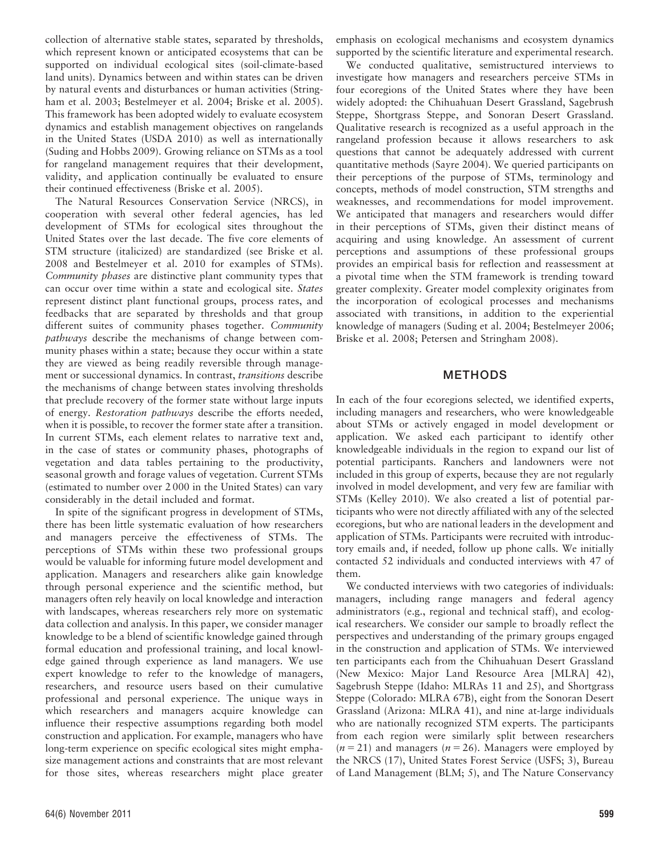collection of alternative stable states, separated by thresholds, which represent known or anticipated ecosystems that can be supported on individual ecological sites (soil-climate-based land units). Dynamics between and within states can be driven by natural events and disturbances or human activities (Stringham et al. 2003; Bestelmeyer et al. 2004; Briske et al. 2005). This framework has been adopted widely to evaluate ecosystem dynamics and establish management objectives on rangelands in the United States (USDA 2010) as well as internationally (Suding and Hobbs 2009). Growing reliance on STMs as a tool for rangeland management requires that their development, validity, and application continually be evaluated to ensure their continued effectiveness (Briske et al. 2005).

The Natural Resources Conservation Service (NRCS), in cooperation with several other federal agencies, has led development of STMs for ecological sites throughout the United States over the last decade. The five core elements of STM structure (italicized) are standardized (see Briske et al. 2008 and Bestelmeyer et al. 2010 for examples of STMs). Community phases are distinctive plant community types that can occur over time within a state and ecological site. States represent distinct plant functional groups, process rates, and feedbacks that are separated by thresholds and that group different suites of community phases together. Community pathways describe the mechanisms of change between community phases within a state; because they occur within a state they are viewed as being readily reversible through management or successional dynamics. In contrast, transitions describe the mechanisms of change between states involving thresholds that preclude recovery of the former state without large inputs of energy. Restoration pathways describe the efforts needed, when it is possible, to recover the former state after a transition. In current STMs, each element relates to narrative text and, in the case of states or community phases, photographs of vegetation and data tables pertaining to the productivity, seasonal growth and forage values of vegetation. Current STMs (estimated to number over 2 000 in the United States) can vary considerably in the detail included and format.

In spite of the significant progress in development of STMs, there has been little systematic evaluation of how researchers and managers perceive the effectiveness of STMs. The perceptions of STMs within these two professional groups would be valuable for informing future model development and application. Managers and researchers alike gain knowledge through personal experience and the scientific method, but managers often rely heavily on local knowledge and interaction with landscapes, whereas researchers rely more on systematic data collection and analysis. In this paper, we consider manager knowledge to be a blend of scientific knowledge gained through formal education and professional training, and local knowledge gained through experience as land managers. We use expert knowledge to refer to the knowledge of managers, researchers, and resource users based on their cumulative professional and personal experience. The unique ways in which researchers and managers acquire knowledge can influence their respective assumptions regarding both model construction and application. For example, managers who have long-term experience on specific ecological sites might emphasize management actions and constraints that are most relevant for those sites, whereas researchers might place greater

emphasis on ecological mechanisms and ecosystem dynamics supported by the scientific literature and experimental research.

We conducted qualitative, semistructured interviews to investigate how managers and researchers perceive STMs in four ecoregions of the United States where they have been widely adopted: the Chihuahuan Desert Grassland, Sagebrush Steppe, Shortgrass Steppe, and Sonoran Desert Grassland. Qualitative research is recognized as a useful approach in the rangeland profession because it allows researchers to ask questions that cannot be adequately addressed with current quantitative methods (Sayre 2004). We queried participants on their perceptions of the purpose of STMs, terminology and concepts, methods of model construction, STM strengths and weaknesses, and recommendations for model improvement. We anticipated that managers and researchers would differ in their perceptions of STMs, given their distinct means of acquiring and using knowledge. An assessment of current perceptions and assumptions of these professional groups provides an empirical basis for reflection and reassessment at a pivotal time when the STM framework is trending toward greater complexity. Greater model complexity originates from the incorporation of ecological processes and mechanisms associated with transitions, in addition to the experiential knowledge of managers (Suding et al. 2004; Bestelmeyer 2006; Briske et al. 2008; Petersen and Stringham 2008).

## METHODS

In each of the four ecoregions selected, we identified experts, including managers and researchers, who were knowledgeable about STMs or actively engaged in model development or application. We asked each participant to identify other knowledgeable individuals in the region to expand our list of potential participants. Ranchers and landowners were not included in this group of experts, because they are not regularly involved in model development, and very few are familiar with STMs (Kelley 2010). We also created a list of potential participants who were not directly affiliated with any of the selected ecoregions, but who are national leaders in the development and application of STMs. Participants were recruited with introductory emails and, if needed, follow up phone calls. We initially contacted 52 individuals and conducted interviews with 47 of them.

We conducted interviews with two categories of individuals: managers, including range managers and federal agency administrators (e.g., regional and technical staff), and ecological researchers. We consider our sample to broadly reflect the perspectives and understanding of the primary groups engaged in the construction and application of STMs. We interviewed ten participants each from the Chihuahuan Desert Grassland (New Mexico: Major Land Resource Area [MLRA] 42), Sagebrush Steppe (Idaho: MLRAs 11 and 25), and Shortgrass Steppe (Colorado: MLRA 67B), eight from the Sonoran Desert Grassland (Arizona: MLRA 41), and nine at-large individuals who are nationally recognized STM experts. The participants from each region were similarly split between researchers  $(n = 21)$  and managers  $(n = 26)$ . Managers were employed by the NRCS (17), United States Forest Service (USFS; 3), Bureau of Land Management (BLM; 5), and The Nature Conservancy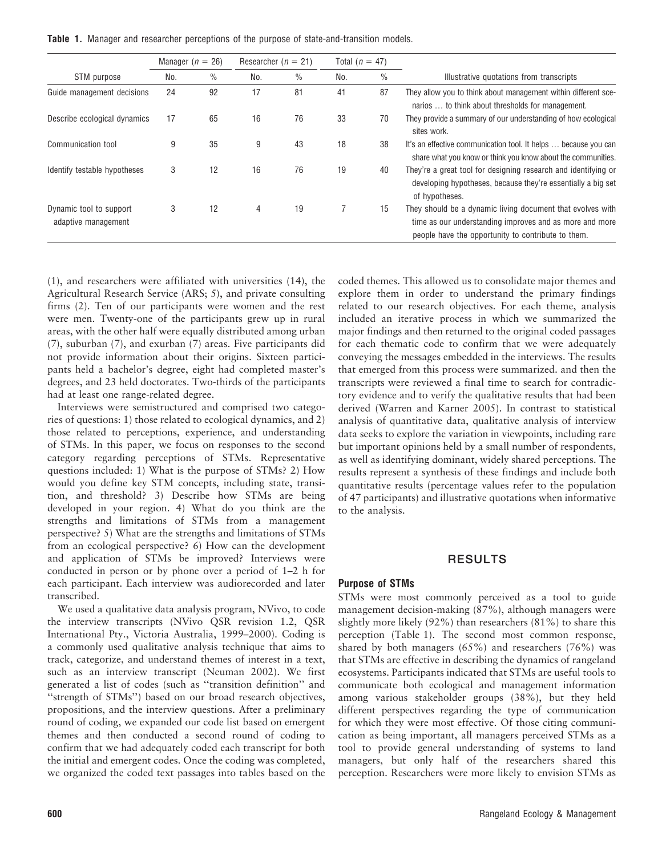|  |  |  |  |  |  |  |  |  |  | Table 1. Manager and researcher perceptions of the purpose of state-and-transition models. |  |
|--|--|--|--|--|--|--|--|--|--|--------------------------------------------------------------------------------------------|--|
|--|--|--|--|--|--|--|--|--|--|--------------------------------------------------------------------------------------------|--|

|                                                | Manager ( $n = 26$ )<br>$\%$<br>No. |    | Researcher ( $n = 21$ ) |    | Total ( $n = 47$ )   |    |                                                                                                                                                                             |
|------------------------------------------------|-------------------------------------|----|-------------------------|----|----------------------|----|-----------------------------------------------------------------------------------------------------------------------------------------------------------------------------|
| STM purpose                                    |                                     |    | $\%$<br>No.             |    | $\frac{0}{0}$<br>No. |    | Illustrative quotations from transcripts                                                                                                                                    |
| Guide management decisions                     | 24                                  | 92 | 17                      | 81 | 41                   | 87 | They allow you to think about management within different sce-<br>narios  to think about thresholds for management.                                                         |
| Describe ecological dynamics                   | 17                                  | 65 | 16                      | 76 | 33                   | 70 | They provide a summary of our understanding of how ecological<br>sites work.                                                                                                |
| Communication tool                             | 9                                   | 35 | 9                       | 43 | 18                   | 38 | It's an effective communication tool. It helps  because you can<br>share what you know or think you know about the communities.                                             |
| Identify testable hypotheses                   | 3                                   | 12 | 16                      | 76 | 19                   | 40 | They're a great tool for designing research and identifying or<br>developing hypotheses, because they're essentially a big set<br>of hypotheses.                            |
| Dynamic tool to support<br>adaptive management | 3                                   | 12 | 4                       | 19 |                      | 15 | They should be a dynamic living document that evolves with<br>time as our understanding improves and as more and more<br>people have the opportunity to contribute to them. |

(1), and researchers were affiliated with universities (14), the Agricultural Research Service (ARS; 5), and private consulting firms (2). Ten of our participants were women and the rest were men. Twenty-one of the participants grew up in rural areas, with the other half were equally distributed among urban (7), suburban (7), and exurban (7) areas. Five participants did not provide information about their origins. Sixteen participants held a bachelor's degree, eight had completed master's degrees, and 23 held doctorates. Two-thirds of the participants had at least one range-related degree.

Interviews were semistructured and comprised two categories of questions: 1) those related to ecological dynamics, and 2) those related to perceptions, experience, and understanding of STMs. In this paper, we focus on responses to the second category regarding perceptions of STMs. Representative questions included: 1) What is the purpose of STMs? 2) How would you define key STM concepts, including state, transition, and threshold? 3) Describe how STMs are being developed in your region. 4) What do you think are the strengths and limitations of STMs from a management perspective? 5) What are the strengths and limitations of STMs from an ecological perspective? 6) How can the development and application of STMs be improved? Interviews were conducted in person or by phone over a period of 1–2 h for each participant. Each interview was audiorecorded and later transcribed.

We used a qualitative data analysis program, NVivo, to code the interview transcripts (NVivo QSR revision 1.2, QSR International Pty., Victoria Australia, 1999–2000). Coding is a commonly used qualitative analysis technique that aims to track, categorize, and understand themes of interest in a text, such as an interview transcript (Neuman 2002). We first generated a list of codes (such as ''transition definition'' and "strength of STMs") based on our broad research objectives, propositions, and the interview questions. After a preliminary round of coding, we expanded our code list based on emergent themes and then conducted a second round of coding to confirm that we had adequately coded each transcript for both the initial and emergent codes. Once the coding was completed, we organized the coded text passages into tables based on the

coded themes. This allowed us to consolidate major themes and explore them in order to understand the primary findings related to our research objectives. For each theme, analysis included an iterative process in which we summarized the major findings and then returned to the original coded passages for each thematic code to confirm that we were adequately conveying the messages embedded in the interviews. The results that emerged from this process were summarized. and then the transcripts were reviewed a final time to search for contradictory evidence and to verify the qualitative results that had been derived (Warren and Karner 2005). In contrast to statistical analysis of quantitative data, qualitative analysis of interview data seeks to explore the variation in viewpoints, including rare but important opinions held by a small number of respondents, as well as identifying dominant, widely shared perceptions. The results represent a synthesis of these findings and include both quantitative results (percentage values refer to the population of 47 participants) and illustrative quotations when informative to the analysis.

## RESULTS

### Purpose of STMs

STMs were most commonly perceived as a tool to guide management decision-making (87%), although managers were slightly more likely  $(92\%)$  than researchers  $(81\%)$  to share this perception (Table 1). The second most common response, shared by both managers  $(65\%)$  and researchers  $(76\%)$  was that STMs are effective in describing the dynamics of rangeland ecosystems. Participants indicated that STMs are useful tools to communicate both ecological and management information among various stakeholder groups (38%), but they held different perspectives regarding the type of communication for which they were most effective. Of those citing communication as being important, all managers perceived STMs as a tool to provide general understanding of systems to land managers, but only half of the researchers shared this perception. Researchers were more likely to envision STMs as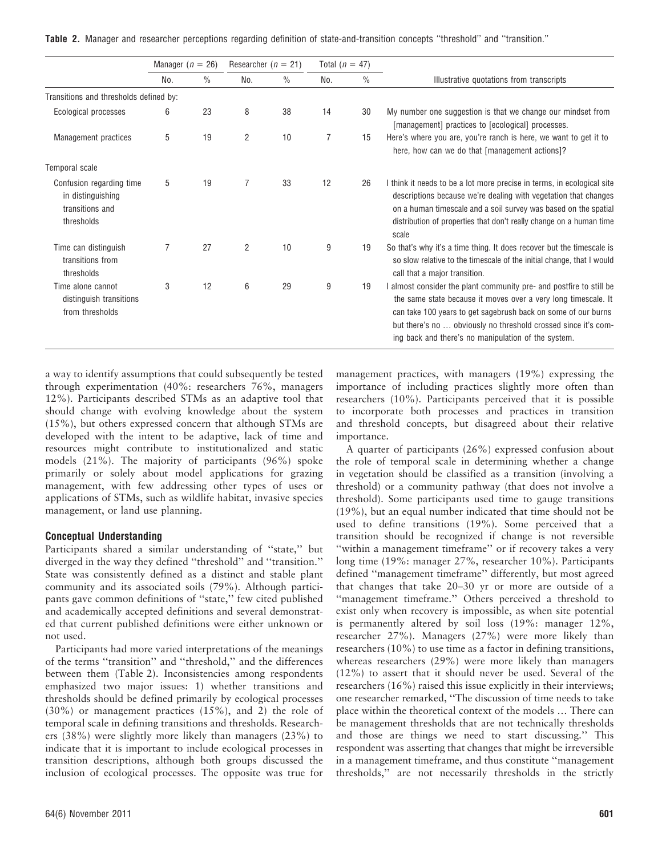|                                                                                | Manager ( $n = 26$ ) |               | Researcher ( $n = 21$ ) |               | Total ( $n = 47$ ) |               |                                                                                                                                                                                                                                                                                                                               |
|--------------------------------------------------------------------------------|----------------------|---------------|-------------------------|---------------|--------------------|---------------|-------------------------------------------------------------------------------------------------------------------------------------------------------------------------------------------------------------------------------------------------------------------------------------------------------------------------------|
|                                                                                | No.                  | $\frac{0}{0}$ | No.                     | $\frac{0}{0}$ | No.                | $\frac{0}{0}$ | Illustrative quotations from transcripts                                                                                                                                                                                                                                                                                      |
| Transitions and thresholds defined by:                                         |                      |               |                         |               |                    |               |                                                                                                                                                                                                                                                                                                                               |
| Ecological processes                                                           | 6                    | 23            | 8                       | 38            | 14                 | 30            | My number one suggestion is that we change our mindset from<br>[management] practices to [ecological] processes.                                                                                                                                                                                                              |
| Management practices                                                           | 5                    | 19            | 2                       | 10            | $\overline{7}$     | 15            | Here's where you are, you're ranch is here, we want to get it to<br>here, how can we do that [management actions]?                                                                                                                                                                                                            |
| Temporal scale                                                                 |                      |               |                         |               |                    |               |                                                                                                                                                                                                                                                                                                                               |
| Confusion regarding time<br>in distinguishing<br>transitions and<br>thresholds | 5                    | 19            | 7                       | 33            | 12                 | 26            | I think it needs to be a lot more precise in terms, in ecological site<br>descriptions because we're dealing with vegetation that changes<br>on a human timescale and a soil survey was based on the spatial<br>distribution of properties that don't really change on a human time<br>scale                                  |
| Time can distinguish<br>transitions from<br>thresholds                         | 7                    | 27            | $\overline{2}$          | 10            | 9                  | 19            | So that's why it's a time thing. It does recover but the timescale is<br>so slow relative to the timescale of the initial change, that I would<br>call that a major transition.                                                                                                                                               |
| Time alone cannot<br>distinguish transitions<br>from thresholds                | 3                    | 12            | 6                       | 29            | 9                  | 19            | almost consider the plant community pre- and postfire to still be<br>the same state because it moves over a very long timescale. It<br>can take 100 years to get sagebrush back on some of our burns<br>but there's no  obviously no threshold crossed since it's com-<br>ing back and there's no manipulation of the system. |

Table 2. Manager and researcher perceptions regarding definition of state-and-transition concepts ''threshold'' and ''transition.''

a way to identify assumptions that could subsequently be tested through experimentation (40%: researchers 76%, managers 12%). Participants described STMs as an adaptive tool that should change with evolving knowledge about the system (15%), but others expressed concern that although STMs are developed with the intent to be adaptive, lack of time and resources might contribute to institutionalized and static models (21%). The majority of participants (96%) spoke primarily or solely about model applications for grazing management, with few addressing other types of uses or applications of STMs, such as wildlife habitat, invasive species management, or land use planning.

### Conceptual Understanding

Participants shared a similar understanding of "state," but diverged in the way they defined ''threshold'' and ''transition.'' State was consistently defined as a distinct and stable plant community and its associated soils (79%). Although participants gave common definitions of ''state,'' few cited published and academically accepted definitions and several demonstrated that current published definitions were either unknown or not used.

Participants had more varied interpretations of the meanings of the terms ''transition'' and ''threshold,'' and the differences between them (Table 2). Inconsistencies among respondents emphasized two major issues: 1) whether transitions and thresholds should be defined primarily by ecological processes (30%) or management practices (15%), and 2) the role of temporal scale in defining transitions and thresholds. Researchers (38%) were slightly more likely than managers (23%) to indicate that it is important to include ecological processes in transition descriptions, although both groups discussed the inclusion of ecological processes. The opposite was true for

management practices, with managers (19%) expressing the importance of including practices slightly more often than researchers (10%). Participants perceived that it is possible to incorporate both processes and practices in transition and threshold concepts, but disagreed about their relative importance.

A quarter of participants (26%) expressed confusion about the role of temporal scale in determining whether a change in vegetation should be classified as a transition (involving a threshold) or a community pathway (that does not involve a threshold). Some participants used time to gauge transitions (19%), but an equal number indicated that time should not be used to define transitions (19%). Some perceived that a transition should be recognized if change is not reversible "within a management timeframe" or if recovery takes a very long time (19%: manager 27%, researcher 10%). Participants defined ''management timeframe'' differently, but most agreed that changes that take 20–30 yr or more are outside of a ''management timeframe.'' Others perceived a threshold to exist only when recovery is impossible, as when site potential is permanently altered by soil loss (19%: manager 12%, researcher 27%). Managers (27%) were more likely than researchers (10%) to use time as a factor in defining transitions, whereas researchers (29%) were more likely than managers (12%) to assert that it should never be used. Several of the researchers (16%) raised this issue explicitly in their interviews; one researcher remarked, ''The discussion of time needs to take place within the theoretical context of the models … There can be management thresholds that are not technically thresholds and those are things we need to start discussing.'' This respondent was asserting that changes that might be irreversible in a management timeframe, and thus constitute ''management thresholds,'' are not necessarily thresholds in the strictly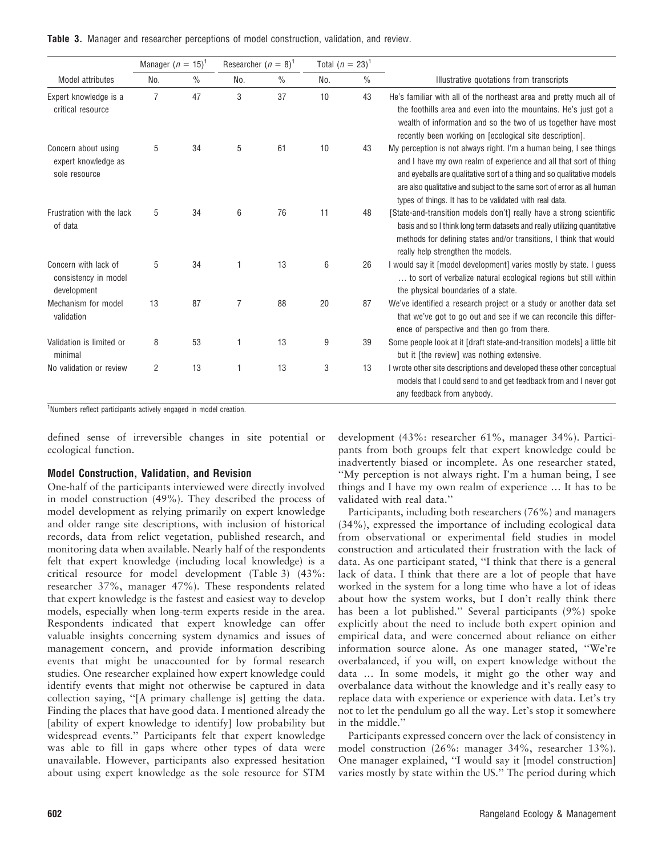|  |  |  |  |  | Table 3. Manager and researcher perceptions of model construction, validation, and review. |  |  |
|--|--|--|--|--|--------------------------------------------------------------------------------------------|--|--|
|--|--|--|--|--|--------------------------------------------------------------------------------------------|--|--|

|                                                             | Manager ( $n = 15$ ) <sup>1</sup><br>No.<br>$\frac{0}{0}$ |    | Researcher $(n = 8)^1$ |    | Total $(n = 23)^{1}$ |               |                                                                                                                                                                                                                                                                                                                                                        |
|-------------------------------------------------------------|-----------------------------------------------------------|----|------------------------|----|----------------------|---------------|--------------------------------------------------------------------------------------------------------------------------------------------------------------------------------------------------------------------------------------------------------------------------------------------------------------------------------------------------------|
| Model attributes                                            |                                                           |    | $\frac{0}{0}$<br>No.   |    | No.                  | $\frac{0}{0}$ | Illustrative quotations from transcripts                                                                                                                                                                                                                                                                                                               |
| Expert knowledge is a<br>critical resource                  | 7                                                         | 47 | 3                      | 37 | 10                   | 43            | He's familiar with all of the northeast area and pretty much all of<br>the foothills area and even into the mountains. He's just got a<br>wealth of information and so the two of us together have most<br>recently been working on [ecological site description].                                                                                     |
| Concern about using<br>expert knowledge as<br>sole resource | 5                                                         | 34 | 5                      | 61 | 10                   | 43            | My perception is not always right. I'm a human being, I see things<br>and I have my own realm of experience and all that sort of thing<br>and eyeballs are qualitative sort of a thing and so qualitative models<br>are also qualitative and subject to the same sort of error as all human<br>types of things. It has to be validated with real data. |
| Frustration with the lack<br>of data                        | 5                                                         | 34 | 6                      | 76 | 11                   | 48            | [State-and-transition models don't] really have a strong scientific<br>basis and so I think long term datasets and really utilizing quantitative<br>methods for defining states and/or transitions. I think that would<br>really help strengthen the models.                                                                                           |
| Concern with lack of<br>consistency in model<br>development | 5                                                         | 34 |                        | 13 | 6                    | 26            | I would say it [model development] varies mostly by state. I guess<br>to sort of verbalize natural ecological regions but still within<br>the physical boundaries of a state.                                                                                                                                                                          |
| Mechanism for model<br>validation                           | 13                                                        | 87 | $\overline{7}$         | 88 | 20                   | 87            | We've identified a research project or a study or another data set<br>that we've got to go out and see if we can reconcile this differ-<br>ence of perspective and then go from there.                                                                                                                                                                 |
| Validation is limited or<br>minimal                         | 8                                                         | 53 | 1                      | 13 | 9                    | 39            | Some people look at it [draft state-and-transition models] a little bit<br>but it [the review] was nothing extensive.                                                                                                                                                                                                                                  |
| No validation or review                                     | 2                                                         | 13 |                        | 13 | 3                    | 13            | I wrote other site descriptions and developed these other conceptual<br>models that I could send to and get feedback from and I never got<br>any feedback from anybody.                                                                                                                                                                                |

<sup>1</sup>Numbers reflect participants actively engaged in model creation.

defined sense of irreversible changes in site potential or ecological function.

### Model Construction, Validation, and Revision

One-half of the participants interviewed were directly involved in model construction (49%). They described the process of model development as relying primarily on expert knowledge and older range site descriptions, with inclusion of historical records, data from relict vegetation, published research, and monitoring data when available. Nearly half of the respondents felt that expert knowledge (including local knowledge) is a critical resource for model development (Table 3) (43%: researcher 37%, manager 47%). These respondents related that expert knowledge is the fastest and easiest way to develop models, especially when long-term experts reside in the area. Respondents indicated that expert knowledge can offer valuable insights concerning system dynamics and issues of management concern, and provide information describing events that might be unaccounted for by formal research studies. One researcher explained how expert knowledge could identify events that might not otherwise be captured in data collection saying, ''[A primary challenge is] getting the data. Finding the places that have good data. I mentioned already the [ability of expert knowledge to identify] low probability but widespread events.'' Participants felt that expert knowledge was able to fill in gaps where other types of data were unavailable. However, participants also expressed hesitation about using expert knowledge as the sole resource for STM

development (43%: researcher 61%, manager 34%). Participants from both groups felt that expert knowledge could be inadvertently biased or incomplete. As one researcher stated, ''My perception is not always right. I'm a human being, I see things and I have my own realm of experience … It has to be validated with real data.''

Participants, including both researchers (76%) and managers (34%), expressed the importance of including ecological data from observational or experimental field studies in model construction and articulated their frustration with the lack of data. As one participant stated, ''I think that there is a general lack of data. I think that there are a lot of people that have worked in the system for a long time who have a lot of ideas about how the system works, but I don't really think there has been a lot published.'' Several participants (9%) spoke explicitly about the need to include both expert opinion and empirical data, and were concerned about reliance on either information source alone. As one manager stated, ''We're overbalanced, if you will, on expert knowledge without the data … In some models, it might go the other way and overbalance data without the knowledge and it's really easy to replace data with experience or experience with data. Let's try not to let the pendulum go all the way. Let's stop it somewhere in the middle.''

Participants expressed concern over the lack of consistency in model construction (26%: manager 34%, researcher 13%). One manager explained, ''I would say it [model construction] varies mostly by state within the US.'' The period during which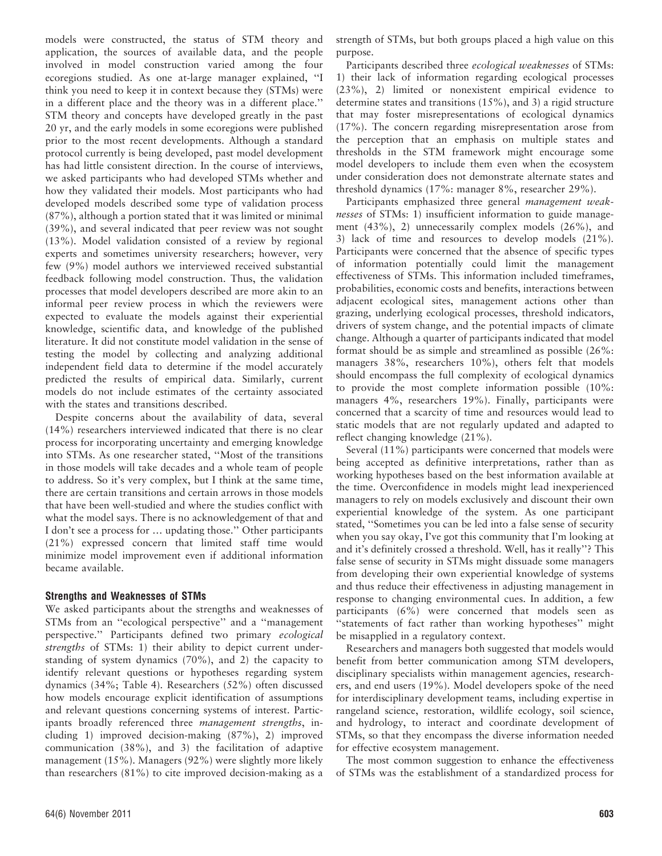models were constructed, the status of STM theory and application, the sources of available data, and the people involved in model construction varied among the four ecoregions studied. As one at-large manager explained, ''I think you need to keep it in context because they (STMs) were in a different place and the theory was in a different place.'' STM theory and concepts have developed greatly in the past 20 yr, and the early models in some ecoregions were published prior to the most recent developments. Although a standard protocol currently is being developed, past model development has had little consistent direction. In the course of interviews, we asked participants who had developed STMs whether and how they validated their models. Most participants who had developed models described some type of validation process (87%), although a portion stated that it was limited or minimal (39%), and several indicated that peer review was not sought (13%). Model validation consisted of a review by regional experts and sometimes university researchers; however, very few (9%) model authors we interviewed received substantial feedback following model construction. Thus, the validation processes that model developers described are more akin to an informal peer review process in which the reviewers were expected to evaluate the models against their experiential knowledge, scientific data, and knowledge of the published literature. It did not constitute model validation in the sense of testing the model by collecting and analyzing additional independent field data to determine if the model accurately predicted the results of empirical data. Similarly, current models do not include estimates of the certainty associated with the states and transitions described.

Despite concerns about the availability of data, several (14%) researchers interviewed indicated that there is no clear process for incorporating uncertainty and emerging knowledge into STMs. As one researcher stated, ''Most of the transitions in those models will take decades and a whole team of people to address. So it's very complex, but I think at the same time, there are certain transitions and certain arrows in those models that have been well-studied and where the studies conflict with what the model says. There is no acknowledgement of that and I don't see a process for … updating those.'' Other participants (21%) expressed concern that limited staff time would minimize model improvement even if additional information became available.

## Strengths and Weaknesses of STMs

We asked participants about the strengths and weaknesses of STMs from an ''ecological perspective'' and a ''management perspective.'' Participants defined two primary ecological strengths of STMs: 1) their ability to depict current understanding of system dynamics (70%), and 2) the capacity to identify relevant questions or hypotheses regarding system dynamics (34%; Table 4). Researchers (52%) often discussed how models encourage explicit identification of assumptions and relevant questions concerning systems of interest. Participants broadly referenced three management strengths, including 1) improved decision-making (87%), 2) improved communication (38%), and 3) the facilitation of adaptive management (15%). Managers (92%) were slightly more likely than researchers (81%) to cite improved decision-making as a

strength of STMs, but both groups placed a high value on this purpose.

Participants described three ecological weaknesses of STMs: 1) their lack of information regarding ecological processes (23%), 2) limited or nonexistent empirical evidence to determine states and transitions (15%), and 3) a rigid structure that may foster misrepresentations of ecological dynamics (17%). The concern regarding misrepresentation arose from the perception that an emphasis on multiple states and thresholds in the STM framework might encourage some model developers to include them even when the ecosystem under consideration does not demonstrate alternate states and threshold dynamics (17%: manager 8%, researcher 29%).

Participants emphasized three general management weaknesses of STMs: 1) insufficient information to guide management (43%), 2) unnecessarily complex models (26%), and 3) lack of time and resources to develop models (21%). Participants were concerned that the absence of specific types of information potentially could limit the management effectiveness of STMs. This information included timeframes, probabilities, economic costs and benefits, interactions between adjacent ecological sites, management actions other than grazing, underlying ecological processes, threshold indicators, drivers of system change, and the potential impacts of climate change. Although a quarter of participants indicated that model format should be as simple and streamlined as possible (26%: managers 38%, researchers 10%), others felt that models should encompass the full complexity of ecological dynamics to provide the most complete information possible (10%: managers 4%, researchers 19%). Finally, participants were concerned that a scarcity of time and resources would lead to static models that are not regularly updated and adapted to reflect changing knowledge (21%).

Several (11%) participants were concerned that models were being accepted as definitive interpretations, rather than as working hypotheses based on the best information available at the time. Overconfidence in models might lead inexperienced managers to rely on models exclusively and discount their own experiential knowledge of the system. As one participant stated, ''Sometimes you can be led into a false sense of security when you say okay, I've got this community that I'm looking at and it's definitely crossed a threshold. Well, has it really''? This false sense of security in STMs might dissuade some managers from developing their own experiential knowledge of systems and thus reduce their effectiveness in adjusting management in response to changing environmental cues. In addition, a few participants (6%) were concerned that models seen as "statements of fact rather than working hypotheses" might be misapplied in a regulatory context.

Researchers and managers both suggested that models would benefit from better communication among STM developers, disciplinary specialists within management agencies, researchers, and end users (19%). Model developers spoke of the need for interdisciplinary development teams, including expertise in rangeland science, restoration, wildlife ecology, soil science, and hydrology, to interact and coordinate development of STMs, so that they encompass the diverse information needed for effective ecosystem management.

The most common suggestion to enhance the effectiveness of STMs was the establishment of a standardized process for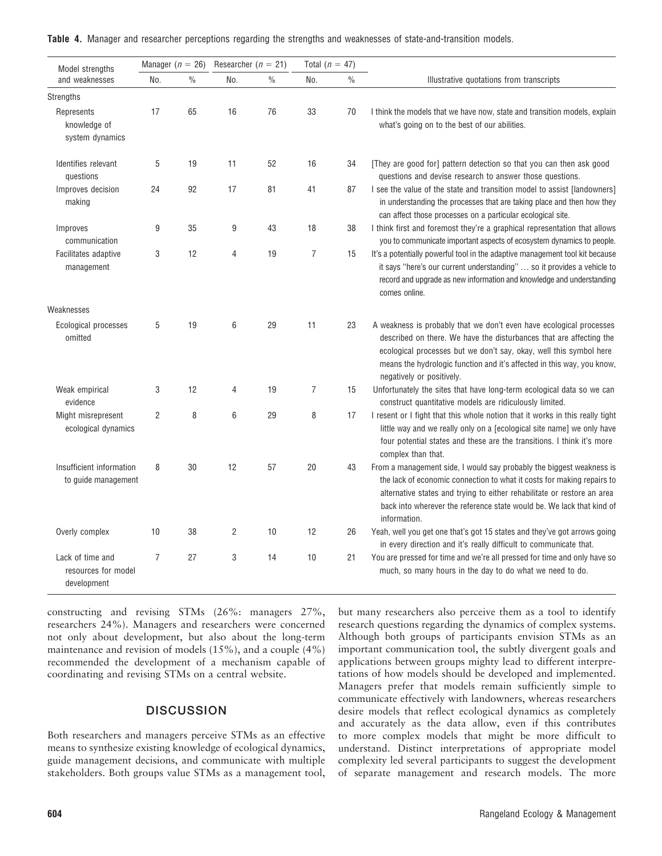| Model strengths                                        | Manager ( $n = 26$ ) |               | Researcher ( $n = 21$ ) |      | Total ( $n = 47$ ) |               |                                                                                                                                                                                                                                                                                                                         |
|--------------------------------------------------------|----------------------|---------------|-------------------------|------|--------------------|---------------|-------------------------------------------------------------------------------------------------------------------------------------------------------------------------------------------------------------------------------------------------------------------------------------------------------------------------|
| and weaknesses                                         | No.                  | $\frac{0}{0}$ | No.                     | $\%$ | No.                | $\frac{0}{0}$ | Illustrative quotations from transcripts                                                                                                                                                                                                                                                                                |
| Strengths                                              |                      |               |                         |      |                    |               |                                                                                                                                                                                                                                                                                                                         |
| Represents<br>knowledge of<br>system dynamics          | 17                   | 65            | 16                      | 76   | 33                 | 70            | I think the models that we have now, state and transition models, explain<br>what's going on to the best of our abilities.                                                                                                                                                                                              |
| Identifies relevant<br>questions                       | 5                    | 19            | 11                      | 52   | 16                 | 34            | [They are good for] pattern detection so that you can then ask good<br>questions and devise research to answer those questions.                                                                                                                                                                                         |
| Improves decision<br>making                            | 24                   | 92            | 17                      | 81   | 41                 | 87            | I see the value of the state and transition model to assist [landowners]<br>in understanding the processes that are taking place and then how they<br>can affect those processes on a particular ecological site.                                                                                                       |
| Improves<br>communication                              | 9                    | 35            | 9                       | 43   | 18                 | 38            | I think first and foremost they're a graphical representation that allows<br>you to communicate important aspects of ecosystem dynamics to people.                                                                                                                                                                      |
| Facilitates adaptive<br>management                     | 3                    | 12            | 4                       | 19   | $\overline{7}$     | 15            | It's a potentially powerful tool in the adaptive management tool kit because<br>it says "here's our current understanding"  so it provides a vehicle to<br>record and upgrade as new information and knowledge and understanding<br>comes online.                                                                       |
| Weaknesses                                             |                      |               |                         |      |                    |               |                                                                                                                                                                                                                                                                                                                         |
| Ecological processes<br>omitted                        | 5                    | 19            | 6                       | 29   | 11                 | 23            | A weakness is probably that we don't even have ecological processes<br>described on there. We have the disturbances that are affecting the<br>ecological processes but we don't say, okay, well this symbol here<br>means the hydrologic function and it's affected in this way, you know,<br>negatively or positively. |
| Weak empirical<br>evidence                             | 3                    | 12            | 4                       | 19   | $\overline{7}$     | 15            | Unfortunately the sites that have long-term ecological data so we can<br>construct quantitative models are ridiculously limited.                                                                                                                                                                                        |
| Might misrepresent<br>ecological dynamics              | 2                    | 8             | 6                       | 29   | 8                  | 17            | I resent or I fight that this whole notion that it works in this really tight<br>little way and we really only on a fecological site name] we only have<br>four potential states and these are the transitions. I think it's more<br>complex than that.                                                                 |
| Insufficient information<br>to guide management        | 8                    | 30            | 12                      | 57   | 20                 | 43            | From a management side, I would say probably the biggest weakness is<br>the lack of economic connection to what it costs for making repairs to<br>alternative states and trying to either rehabilitate or restore an area<br>back into wherever the reference state would be. We lack that kind of<br>information.      |
| Overly complex                                         | 10                   | 38            | 2                       | 10   | 12                 | 26            | Yeah, well you get one that's got 15 states and they've got arrows going<br>in every direction and it's really difficult to communicate that.                                                                                                                                                                           |
| Lack of time and<br>resources for model<br>development | 7                    | 27            | 3                       | 14   | 10                 | 21            | You are pressed for time and we're all pressed for time and only have so<br>much, so many hours in the day to do what we need to do.                                                                                                                                                                                    |

Table 4. Manager and researcher perceptions regarding the strengths and weaknesses of state-and-transition models.

constructing and revising STMs (26%: managers 27%, researchers 24%). Managers and researchers were concerned not only about development, but also about the long-term maintenance and revision of models (15%), and a couple (4%) recommended the development of a mechanism capable of coordinating and revising STMs on a central website.

## **DISCUSSION**

Both researchers and managers perceive STMs as an effective means to synthesize existing knowledge of ecological dynamics, guide management decisions, and communicate with multiple stakeholders. Both groups value STMs as a management tool,

but many researchers also perceive them as a tool to identify research questions regarding the dynamics of complex systems. Although both groups of participants envision STMs as an important communication tool, the subtly divergent goals and applications between groups mighty lead to different interpretations of how models should be developed and implemented. Managers prefer that models remain sufficiently simple to communicate effectively with landowners, whereas researchers desire models that reflect ecological dynamics as completely and accurately as the data allow, even if this contributes to more complex models that might be more difficult to understand. Distinct interpretations of appropriate model complexity led several participants to suggest the development of separate management and research models. The more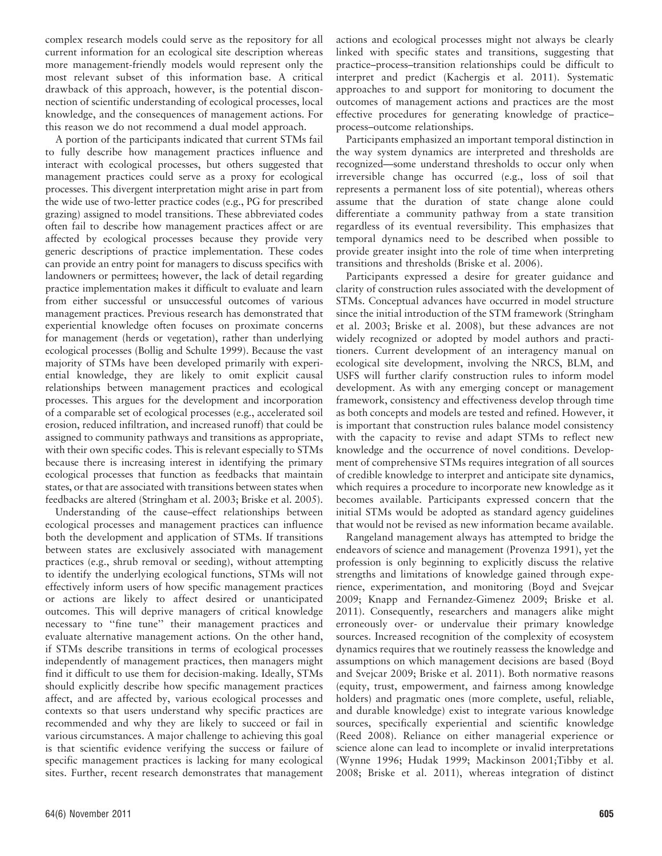complex research models could serve as the repository for all current information for an ecological site description whereas more management-friendly models would represent only the most relevant subset of this information base. A critical drawback of this approach, however, is the potential disconnection of scientific understanding of ecological processes, local knowledge, and the consequences of management actions. For this reason we do not recommend a dual model approach.

A portion of the participants indicated that current STMs fail to fully describe how management practices influence and interact with ecological processes, but others suggested that management practices could serve as a proxy for ecological processes. This divergent interpretation might arise in part from the wide use of two-letter practice codes (e.g., PG for prescribed grazing) assigned to model transitions. These abbreviated codes often fail to describe how management practices affect or are affected by ecological processes because they provide very generic descriptions of practice implementation. These codes can provide an entry point for managers to discuss specifics with landowners or permittees; however, the lack of detail regarding practice implementation makes it difficult to evaluate and learn from either successful or unsuccessful outcomes of various management practices. Previous research has demonstrated that experiential knowledge often focuses on proximate concerns for management (herds or vegetation), rather than underlying ecological processes (Bollig and Schulte 1999). Because the vast majority of STMs have been developed primarily with experiential knowledge, they are likely to omit explicit causal relationships between management practices and ecological processes. This argues for the development and incorporation of a comparable set of ecological processes (e.g., accelerated soil erosion, reduced infiltration, and increased runoff) that could be assigned to community pathways and transitions as appropriate, with their own specific codes. This is relevant especially to STMs because there is increasing interest in identifying the primary ecological processes that function as feedbacks that maintain states, or that are associated with transitions between states when feedbacks are altered (Stringham et al. 2003; Briske et al. 2005).

Understanding of the cause–effect relationships between ecological processes and management practices can influence both the development and application of STMs. If transitions between states are exclusively associated with management practices (e.g., shrub removal or seeding), without attempting to identify the underlying ecological functions, STMs will not effectively inform users of how specific management practices or actions are likely to affect desired or unanticipated outcomes. This will deprive managers of critical knowledge necessary to ''fine tune'' their management practices and evaluate alternative management actions. On the other hand, if STMs describe transitions in terms of ecological processes independently of management practices, then managers might find it difficult to use them for decision-making. Ideally, STMs should explicitly describe how specific management practices affect, and are affected by, various ecological processes and contexts so that users understand why specific practices are recommended and why they are likely to succeed or fail in various circumstances. A major challenge to achieving this goal is that scientific evidence verifying the success or failure of specific management practices is lacking for many ecological sites. Further, recent research demonstrates that management actions and ecological processes might not always be clearly linked with specific states and transitions, suggesting that practice–process–transition relationships could be difficult to interpret and predict (Kachergis et al. 2011). Systematic approaches to and support for monitoring to document the outcomes of management actions and practices are the most effective procedures for generating knowledge of practice– process–outcome relationships.

Participants emphasized an important temporal distinction in the way system dynamics are interpreted and thresholds are recognized—some understand thresholds to occur only when irreversible change has occurred (e.g., loss of soil that represents a permanent loss of site potential), whereas others assume that the duration of state change alone could differentiate a community pathway from a state transition regardless of its eventual reversibility. This emphasizes that temporal dynamics need to be described when possible to provide greater insight into the role of time when interpreting transitions and thresholds (Briske et al. 2006).

Participants expressed a desire for greater guidance and clarity of construction rules associated with the development of STMs. Conceptual advances have occurred in model structure since the initial introduction of the STM framework (Stringham et al. 2003; Briske et al. 2008), but these advances are not widely recognized or adopted by model authors and practitioners. Current development of an interagency manual on ecological site development, involving the NRCS, BLM, and USFS will further clarify construction rules to inform model development. As with any emerging concept or management framework, consistency and effectiveness develop through time as both concepts and models are tested and refined. However, it is important that construction rules balance model consistency with the capacity to revise and adapt STMs to reflect new knowledge and the occurrence of novel conditions. Development of comprehensive STMs requires integration of all sources of credible knowledge to interpret and anticipate site dynamics, which requires a procedure to incorporate new knowledge as it becomes available. Participants expressed concern that the initial STMs would be adopted as standard agency guidelines that would not be revised as new information became available.

Rangeland management always has attempted to bridge the endeavors of science and management (Provenza 1991), yet the profession is only beginning to explicitly discuss the relative strengths and limitations of knowledge gained through experience, experimentation, and monitoring (Boyd and Svejcar 2009; Knapp and Fernandez-Gimenez 2009; Briske et al. 2011). Consequently, researchers and managers alike might erroneously over- or undervalue their primary knowledge sources. Increased recognition of the complexity of ecosystem dynamics requires that we routinely reassess the knowledge and assumptions on which management decisions are based (Boyd and Svejcar 2009; Briske et al. 2011). Both normative reasons (equity, trust, empowerment, and fairness among knowledge holders) and pragmatic ones (more complete, useful, reliable, and durable knowledge) exist to integrate various knowledge sources, specifically experiential and scientific knowledge (Reed 2008). Reliance on either managerial experience or science alone can lead to incomplete or invalid interpretations (Wynne 1996; Hudak 1999; Mackinson 2001;Tibby et al. 2008; Briske et al. 2011), whereas integration of distinct